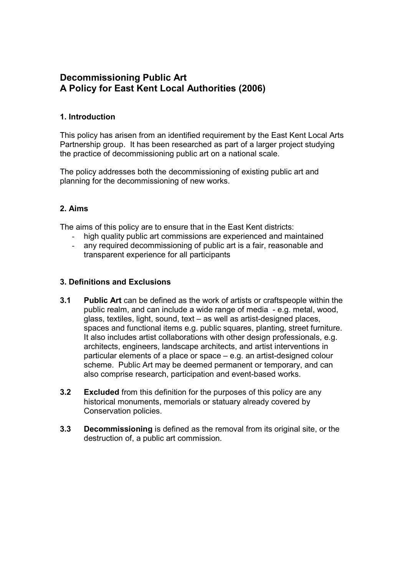# Decommissioning Public Art A Policy for East Kent Local Authorities (2006)

# 1. Introduction

This policy has arisen from an identified requirement by the East Kent Local Arts Partnership group. It has been researched as part of a larger project studying the practice of decommissioning public art on a national scale.

The policy addresses both the decommissioning of existing public art and planning for the decommissioning of new works.

# 2. Aims

The aims of this policy are to ensure that in the East Kent districts:

- high quality public art commissions are experienced and maintained
- any required decommissioning of public art is a fair, reasonable and transparent experience for all participants

# 3. Definitions and Exclusions

- 3.1 Public Art can be defined as the work of artists or craftspeople within the public realm, and can include a wide range of media - e.g. metal, wood, glass, textiles, light, sound, text – as well as artist-designed places, spaces and functional items e.g. public squares, planting, street furniture. It also includes artist collaborations with other design professionals, e.g. architects, engineers, landscape architects, and artist interventions in particular elements of a place or space – e.g. an artist-designed colour scheme. Public Art may be deemed permanent or temporary, and can also comprise research, participation and event-based works.
- **3.2** Excluded from this definition for the purposes of this policy are any historical monuments, memorials or statuary already covered by Conservation policies.
- 3.3 Decommissioning is defined as the removal from its original site, or the destruction of, a public art commission.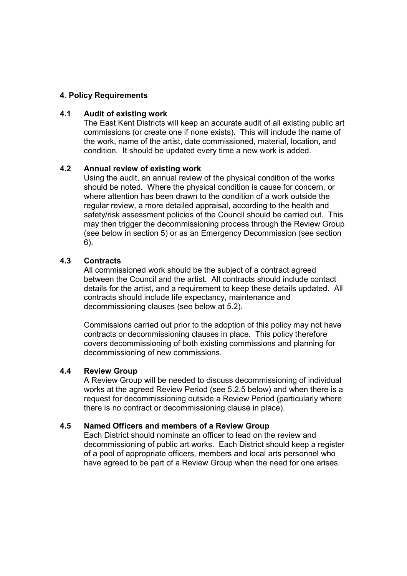### 4. Policy Requirements

#### 4.1 Audit of existing work

The East Kent Districts will keep an accurate audit of all existing public art commissions (or create one if none exists). This will include the name of the work, name of the artist, date commissioned, material, location, and condition. It should be updated every time a new work is added.

#### 4.2 Annual review of existing work

Using the audit, an annual review of the physical condition of the works should be noted. Where the physical condition is cause for concern, or where attention has been drawn to the condition of a work outside the regular review, a more detailed appraisal, according to the health and safety/risk assessment policies of the Council should be carried out. This may then trigger the decommissioning process through the Review Group (see below in section 5) or as an Emergency Decommission (see section 6).

#### 4.3 Contracts

All commissioned work should be the subject of a contract agreed between the Council and the artist. All contracts should include contact details for the artist, and a requirement to keep these details updated. All contracts should include life expectancy, maintenance and decommissioning clauses (see below at 5.2).

Commissions carried out prior to the adoption of this policy may not have contracts or decommissioning clauses in place. This policy therefore covers decommissioning of both existing commissions and planning for decommissioning of new commissions.

#### 4.4 Review Group

A Review Group will be needed to discuss decommissioning of individual works at the agreed Review Period (see 5.2.5 below) and when there is a request for decommissioning outside a Review Period (particularly where there is no contract or decommissioning clause in place).

#### 4.5 Named Officers and members of a Review Group

Each District should nominate an officer to lead on the review and decommissioning of public art works. Each District should keep a register of a pool of appropriate officers, members and local arts personnel who have agreed to be part of a Review Group when the need for one arises.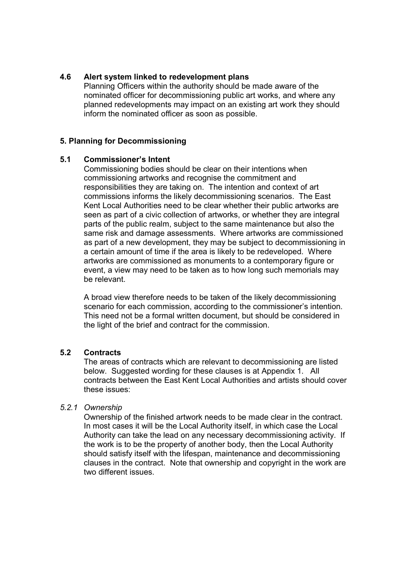### 4.6 Alert system linked to redevelopment plans

Planning Officers within the authority should be made aware of the nominated officer for decommissioning public art works, and where any planned redevelopments may impact on an existing art work they should inform the nominated officer as soon as possible.

### 5. Planning for Decommissioning

#### 5.1 Commissioner's Intent

Commissioning bodies should be clear on their intentions when commissioning artworks and recognise the commitment and responsibilities they are taking on. The intention and context of art commissions informs the likely decommissioning scenarios. The East Kent Local Authorities need to be clear whether their public artworks are seen as part of a civic collection of artworks, or whether they are integral parts of the public realm, subject to the same maintenance but also the same risk and damage assessments. Where artworks are commissioned as part of a new development, they may be subject to decommissioning in a certain amount of time if the area is likely to be redeveloped. Where artworks are commissioned as monuments to a contemporary figure or event, a view may need to be taken as to how long such memorials may be relevant.

A broad view therefore needs to be taken of the likely decommissioning scenario for each commission, according to the commissioner's intention. This need not be a formal written document, but should be considered in the light of the brief and contract for the commission.

# 5.2 Contracts

The areas of contracts which are relevant to decommissioning are listed below. Suggested wording for these clauses is at Appendix 1. All contracts between the East Kent Local Authorities and artists should cover these issues:

#### 5.2.1 Ownership

Ownership of the finished artwork needs to be made clear in the contract. In most cases it will be the Local Authority itself, in which case the Local Authority can take the lead on any necessary decommissioning activity. If the work is to be the property of another body, then the Local Authority should satisfy itself with the lifespan, maintenance and decommissioning clauses in the contract. Note that ownership and copyright in the work are two different issues.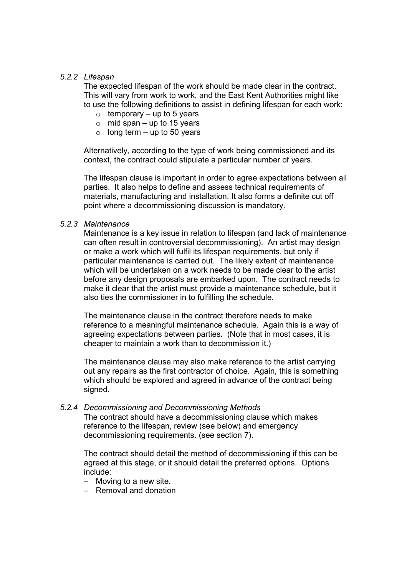### 5.2.2 Lifespan

The expected lifespan of the work should be made clear in the contract. This will vary from work to work, and the East Kent Authorities might like to use the following definitions to assist in defining lifespan for each work:

- $\circ$  temporary up to 5 years
- $\circ$  mid span up to 15 years
- $\circ$  long term up to 50 years

Alternatively, according to the type of work being commissioned and its context, the contract could stipulate a particular number of years.

The lifespan clause is important in order to agree expectations between all parties. It also helps to define and assess technical requirements of materials, manufacturing and installation. It also forms a definite cut off point where a decommissioning discussion is mandatory.

#### 5.2.3 Maintenance

Maintenance is a key issue in relation to lifespan (and lack of maintenance can often result in controversial decommissioning). An artist may design or make a work which will fulfil its lifespan requirements, but only if particular maintenance is carried out. The likely extent of maintenance which will be undertaken on a work needs to be made clear to the artist before any design proposals are embarked upon. The contract needs to make it clear that the artist must provide a maintenance schedule, but it also ties the commissioner in to fulfilling the schedule.

The maintenance clause in the contract therefore needs to make reference to a meaningful maintenance schedule. Again this is a way of agreeing expectations between parties. (Note that in most cases, it is cheaper to maintain a work than to decommission it.)

The maintenance clause may also make reference to the artist carrying out any repairs as the first contractor of choice. Again, this is something which should be explored and agreed in advance of the contract being signed.

5.2.4 Decommissioning and Decommissioning Methods The contract should have a decommissioning clause which makes reference to the lifespan, review (see below) and emergency decommissioning requirements. (see section 7).

The contract should detail the method of decommissioning if this can be agreed at this stage, or it should detail the preferred options. Options include:

- Moving to a new site.
- Removal and donation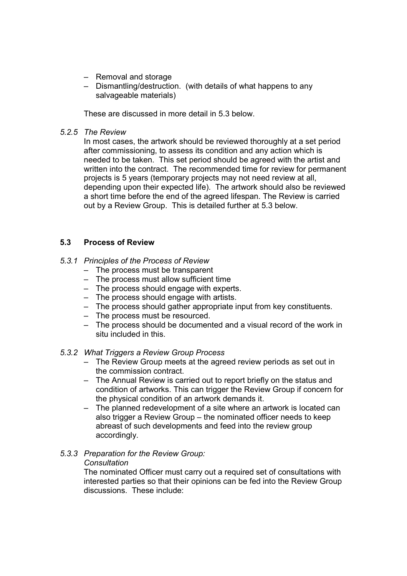- Removal and storage
- Dismantling/destruction. (with details of what happens to any salvageable materials)

These are discussed in more detail in 5.3 below.

5.2.5 The Review

In most cases, the artwork should be reviewed thoroughly at a set period after commissioning, to assess its condition and any action which is needed to be taken. This set period should be agreed with the artist and written into the contract. The recommended time for review for permanent projects is 5 years (temporary projects may not need review at all, depending upon their expected life). The artwork should also be reviewed a short time before the end of the agreed lifespan. The Review is carried out by a Review Group. This is detailed further at 5.3 below.

# 5.3 Process of Review

### 5.3.1 Principles of the Process of Review

- The process must be transparent
- The process must allow sufficient time
- The process should engage with experts.
- The process should engage with artists.
- The process should gather appropriate input from key constituents.
- The process must be resourced.
- The process should be documented and a visual record of the work in situ included in this.

#### 5.3.2 What Triggers a Review Group Process

- The Review Group meets at the agreed review periods as set out in the commission contract.
- The Annual Review is carried out to report briefly on the status and condition of artworks. This can trigger the Review Group if concern for the physical condition of an artwork demands it.
- The planned redevelopment of a site where an artwork is located can also trigger a Review Group – the nominated officer needs to keep abreast of such developments and feed into the review group accordingly.

# 5.3.3 Preparation for the Review Group:

#### **Consultation**

The nominated Officer must carry out a required set of consultations with interested parties so that their opinions can be fed into the Review Group discussions. These include: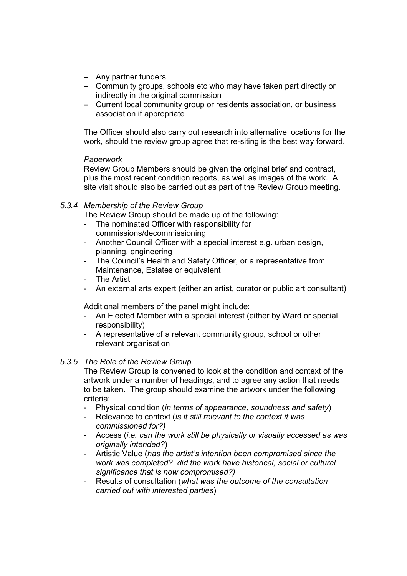- Any partner funders
- Community groups, schools etc who may have taken part directly or indirectly in the original commission
- Current local community group or residents association, or business association if appropriate

The Officer should also carry out research into alternative locations for the work, should the review group agree that re-siting is the best way forward.

### **Paperwork**

Review Group Members should be given the original brief and contract, plus the most recent condition reports, as well as images of the work. A site visit should also be carried out as part of the Review Group meeting.

# 5.3.4 Membership of the Review Group

The Review Group should be made up of the following:

- The nominated Officer with responsibility for commissions/decommissioning
- Another Council Officer with a special interest e.g. urban design, planning, engineering
- The Council's Health and Safety Officer, or a representative from Maintenance, Estates or equivalent
- The Artist
- An external arts expert (either an artist, curator or public art consultant)

Additional members of the panel might include:

- An Elected Member with a special interest (either by Ward or special responsibility)
- A representative of a relevant community group, school or other relevant organisation

# 5.3.5 The Role of the Review Group

The Review Group is convened to look at the condition and context of the artwork under a number of headings, and to agree any action that needs to be taken. The group should examine the artwork under the following criteria:

- Physical condition (in terms of appearance, soundness and safety)
- Relevance to context *(is it still relevant to the context it was* commissioned for?)
- Access (*i.e. can the work still be physically or visually accessed as was* originally intended?)
- Artistic Value (has the artist's intention been compromised since the work was completed? did the work have historical, social or cultural significance that is now compromised?)
- Results of consultation (what was the outcome of the consultation carried out with interested parties)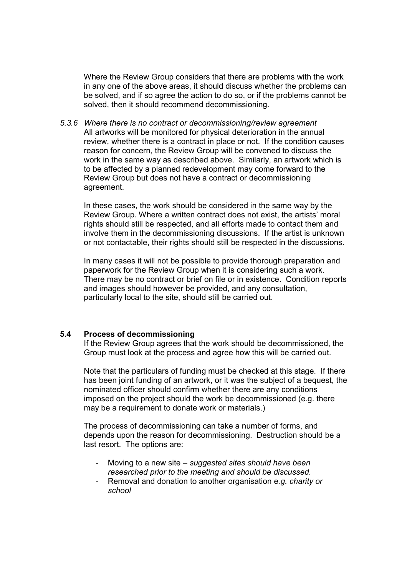Where the Review Group considers that there are problems with the work in any one of the above areas, it should discuss whether the problems can be solved, and if so agree the action to do so, or if the problems cannot be solved, then it should recommend decommissioning.

5.3.6 Where there is no contract or decommissioning/review agreement All artworks will be monitored for physical deterioration in the annual review, whether there is a contract in place or not. If the condition causes reason for concern, the Review Group will be convened to discuss the work in the same way as described above. Similarly, an artwork which is to be affected by a planned redevelopment may come forward to the Review Group but does not have a contract or decommissioning agreement.

In these cases, the work should be considered in the same way by the Review Group. Where a written contract does not exist, the artists' moral rights should still be respected, and all efforts made to contact them and involve them in the decommissioning discussions. If the artist is unknown or not contactable, their rights should still be respected in the discussions.

In many cases it will not be possible to provide thorough preparation and paperwork for the Review Group when it is considering such a work. There may be no contract or brief on file or in existence. Condition reports and images should however be provided, and any consultation, particularly local to the site, should still be carried out.

#### 5.4 Process of decommissioning

If the Review Group agrees that the work should be decommissioned, the Group must look at the process and agree how this will be carried out.

Note that the particulars of funding must be checked at this stage. If there has been joint funding of an artwork, or it was the subject of a bequest, the nominated officer should confirm whether there are any conditions imposed on the project should the work be decommissioned (e.g. there may be a requirement to donate work or materials.)

The process of decommissioning can take a number of forms, and depends upon the reason for decommissioning. Destruction should be a last resort. The options are:

- Moving to a new site suggested sites should have been researched prior to the meeting and should be discussed.
- Removal and donation to another organisation e.g. charity or school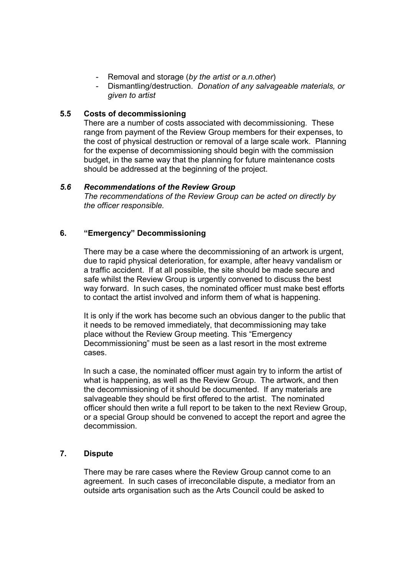- Removal and storage (by the artist or a.n.other)
- Dismantling/destruction. Donation of any salvageable materials, or given to artist

### 5.5 Costs of decommissioning

There are a number of costs associated with decommissioning. These range from payment of the Review Group members for their expenses, to the cost of physical destruction or removal of a large scale work. Planning for the expense of decommissioning should begin with the commission budget, in the same way that the planning for future maintenance costs should be addressed at the beginning of the project.

#### 5.6 Recommendations of the Review Group

The recommendations of the Review Group can be acted on directly by the officer responsible.

### 6. "Emergency" Decommissioning

There may be a case where the decommissioning of an artwork is urgent, due to rapid physical deterioration, for example, after heavy vandalism or a traffic accident. If at all possible, the site should be made secure and safe whilst the Review Group is urgently convened to discuss the best way forward. In such cases, the nominated officer must make best efforts to contact the artist involved and inform them of what is happening.

It is only if the work has become such an obvious danger to the public that it needs to be removed immediately, that decommissioning may take place without the Review Group meeting. This "Emergency Decommissioning" must be seen as a last resort in the most extreme cases.

In such a case, the nominated officer must again try to inform the artist of what is happening, as well as the Review Group. The artwork, and then the decommissioning of it should be documented. If any materials are salvageable they should be first offered to the artist. The nominated officer should then write a full report to be taken to the next Review Group, or a special Group should be convened to accept the report and agree the decommission.

### 7. Dispute

There may be rare cases where the Review Group cannot come to an agreement. In such cases of irreconcilable dispute, a mediator from an outside arts organisation such as the Arts Council could be asked to